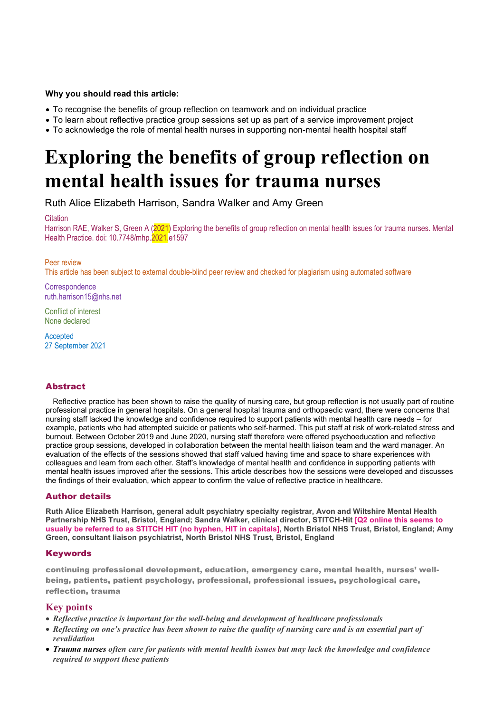# **Why you should read this article:**

- To recognise the benefits of group reflection on teamwork and on individual practice
- To learn about reflective practice group sessions set up as part of a service improvement project
- To acknowledge the role of mental health nurses in supporting non-mental health hospital staff

# **Exploring the benefits of group reflection on mental health issues for trauma nurses**

Ruth Alice Elizabeth Harrison, Sandra Walker and Amy Green

# **Citation**

Harrison RAE, Walker S, Green A (2021) Exploring the benefits of group reflection on mental health issues for trauma nurses. Mental Health Practice. doi: 10.7748/mhp.2021.e1597

# Peer review

This article has been subject to external double-blind peer review and checked for plagiarism using automated software

**Correspondence** ruth.harrison15@nhs.net

Conflict of interest None declared

Accepted 27 September 2021

# **Abstract**

Reflective practice has been shown to raise the quality of nursing care, but group reflection is not usually part of routine professional practice in general hospitals. On a general hospital trauma and orthopaedic ward, there were concerns that nursing staff lacked the knowledge and confidence required to support patients with mental health care needs – for example, patients who had attempted suicide or patients who self-harmed. This put staff at risk of work-related stress and burnout. Between October 2019 and June 2020, nursing staff therefore were offered psychoeducation and reflective practice group sessions, developed in collaboration between the mental health liaison team and the ward manager. An evaluation of the effects of the sessions showed that staff valued having time and space to share experiences with colleagues and learn from each other. Staff's knowledge of mental health and confidence in supporting patients with mental health issues improved after the sessions. This article describes how the sessions were developed and discusses the findings of their evaluation, which appear to confirm the value of reflective practice in healthcare.

# Author details

**Ruth Alice Elizabeth Harrison, general adult psychiatry specialty registrar, Avon and Wiltshire Mental Health Partnership NHS Trust, Bristol, England; Sandra Walker, clinical director, STITCH-Hit [Q2 online this seems to usually be referred to as STITCH HIT (no hyphen, HIT in capitals], North Bristol NHS Trust, Bristol, England; Amy Green, consultant liaison psychiatrist, North Bristol NHS Trust, Bristol, England**

# **Keywords**

continuing professional development, education, emergency care, mental health, nurses' wellbeing, patients, patient psychology, professional, professional issues, psychological care. reflection, trauma

# **Key points**

- *Reflective practice is important for the well-being and development of healthcare professionals*
- *Reflecting on one's practice has been shown to raise the quality of nursing care and is an essential part of revalidation*
- *Trauma nurses often care for patients with mental health issues but may lack the knowledge and confidence required to support these patients*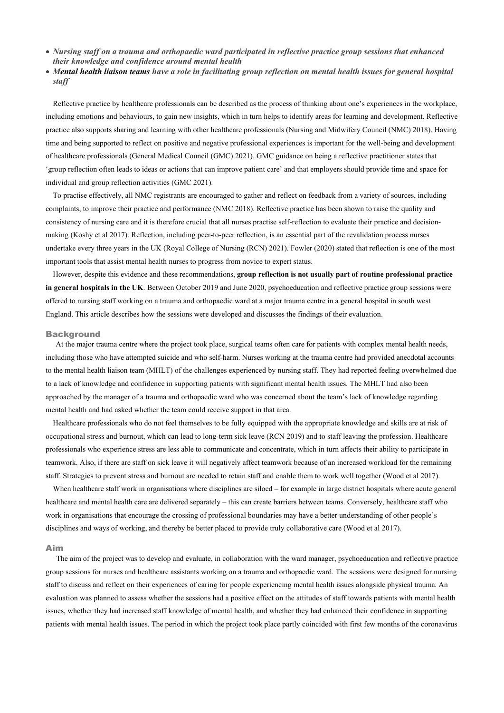- *Nursing staff on a trauma and orthopaedic ward participated in reflective practice group sessions that enhanced their knowledge and confidence around mental health*
- *Mental health liaison teams have a role in facilitating group reflection on mental health issues for general hospital staff*

Reflective practice by healthcare professionals can be described as the process of thinking about one's experiences in the workplace, including emotions and behaviours, to gain new insights, which in turn helps to identify areas for learning and development. Reflective practice also supports sharing and learning with other healthcare professionals (Nursing and Midwifery Council (NMC) 2018). Having time and being supported to reflect on positive and negative professional experiences is important for the well-being and development of healthcare professionals (General Medical Council (GMC) 2021). GMC guidance on being a reflective practitioner states that 'group reflection often leads to ideas or actions that can improve patient care' and that employers should provide time and space for individual and group reflection activities (GMC 2021).

To practise effectively, all NMC registrants are encouraged to gather and reflect on feedback from a variety of sources, including complaints, to improve their practice and performance (NMC 2018). Reflective practice has been shown to raise the quality and consistency of nursing care and it is therefore crucial that all nurses practise self-reflection to evaluate their practice and decisionmaking (Koshy et al 2017). Reflection, including peer-to-peer reflection, is an essential part of the revalidation process nurses undertake every three years in the UK (Royal College of Nursing (RCN) 2021). Fowler (2020) stated that reflection is one of the most important tools that assist mental health nurses to progress from novice to expert status.

However, despite this evidence and these recommendations, **group reflection is not usually part of routine professional practice in general hospitals in the UK**. Between October 2019 and June 2020, psychoeducation and reflective practice group sessions were offered to nursing staff working on a trauma and orthopaedic ward at a major trauma centre in a general hospital in south west England. This article describes how the sessions were developed and discusses the findings of their evaluation.

#### **Background**

At the major trauma centre where the project took place, surgical teams often care for patients with complex mental health needs, including those who have attempted suicide and who self-harm. Nurses working at the trauma centre had provided anecdotal accounts to the mental health liaison team (MHLT) of the challenges experienced by nursing staff. They had reported feeling overwhelmed due to a lack of knowledge and confidence in supporting patients with significant mental health issues. The MHLT had also been approached by the manager of a trauma and orthopaedic ward who was concerned about the team's lack of knowledge regarding mental health and had asked whether the team could receive support in that area.

Healthcare professionals who do not feel themselves to be fully equipped with the appropriate knowledge and skills are at risk of occupational stress and burnout, which can lead to long-term sick leave (RCN 2019) and to staff leaving the profession. Healthcare professionals who experience stress are less able to communicate and concentrate, which in turn affects their ability to participate in teamwork. Also, if there are staff on sick leave it will negatively affect teamwork because of an increased workload for the remaining staff. Strategies to prevent stress and burnout are needed to retain staff and enable them to work well together (Wood et al 2017).

When healthcare staff work in organisations where disciplines are siloed – for example in large district hospitals where acute general healthcare and mental health care are delivered separately – this can create barriers between teams. Conversely, healthcare staff who work in organisations that encourage the crossing of professional boundaries may have a better understanding of other people's disciplines and ways of working, and thereby be better placed to provide truly collaborative care (Wood et al 2017).

#### Aim

The aim of the project was to develop and evaluate, in collaboration with the ward manager, psychoeducation and reflective practice group sessions for nurses and healthcare assistants working on a trauma and orthopaedic ward. The sessions were designed for nursing staff to discuss and reflect on their experiences of caring for people experiencing mental health issues alongside physical trauma. An evaluation was planned to assess whether the sessions had a positive effect on the attitudes of staff towards patients with mental health issues, whether they had increased staff knowledge of mental health, and whether they had enhanced their confidence in supporting patients with mental health issues. The period in which the project took place partly coincided with first few months of the coronavirus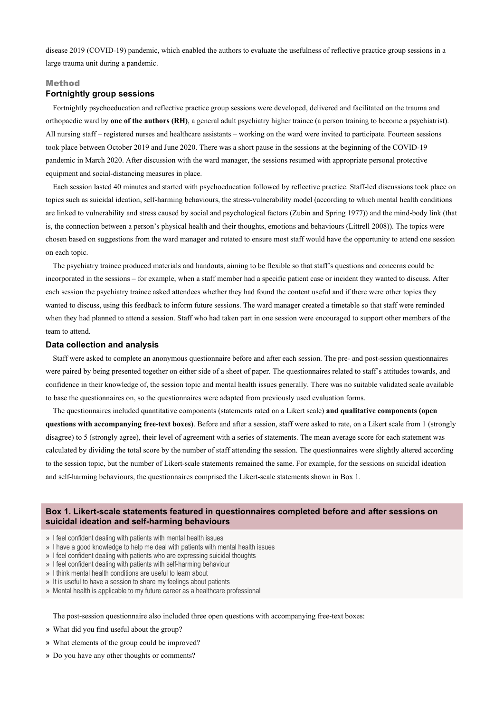disease 2019 (COVID-19) pandemic, which enabled the authors to evaluate the usefulness of reflective practice group sessions in a large trauma unit during a pandemic.

#### Method

### **Fortnightly group sessions**

Fortnightly psychoeducation and reflective practice group sessions were developed, delivered and facilitated on the trauma and orthopaedic ward by **one of the authors (RH)**, a general adult psychiatry higher trainee (a person training to become a psychiatrist). All nursing staff – registered nurses and healthcare assistants – working on the ward were invited to participate. Fourteen sessions took place between October 2019 and June 2020. There was a short pause in the sessions at the beginning of the COVID-19 pandemic in March 2020. After discussion with the ward manager, the sessions resumed with appropriate personal protective equipment and social-distancing measures in place.

Each session lasted 40 minutes and started with psychoeducation followed by reflective practice. Staff-led discussions took place on topics such as suicidal ideation, self-harming behaviours, the stress-vulnerability model (according to which mental health conditions are linked to vulnerability and stress caused by social and psychological factors (Zubin and Spring 1977)) and the mind-body link (that is, the connection between a person's physical health and their thoughts, emotions and behaviours (Littrell 2008)). The topics were chosen based on suggestions from the ward manager and rotated to ensure most staff would have the opportunity to attend one session on each topic.

The psychiatry trainee produced materials and handouts, aiming to be flexible so that staff's questions and concerns could be incorporated in the sessions – for example, when a staff member had a specific patient case or incident they wanted to discuss. After each session the psychiatry trainee asked attendees whether they had found the content useful and if there were other topics they wanted to discuss, using this feedback to inform future sessions. The ward manager created a timetable so that staff were reminded when they had planned to attend a session. Staff who had taken part in one session were encouraged to support other members of the team to attend.

#### **Data collection and analysis**

Staff were asked to complete an anonymous questionnaire before and after each session. The pre- and post-session questionnaires were paired by being presented together on either side of a sheet of paper. The questionnaires related to staff's attitudes towards, and confidence in their knowledge of, the session topic and mental health issues generally. There was no suitable validated scale available to base the questionnaires on, so the questionnaires were adapted from previously used evaluation forms.

The questionnaires included quantitative components (statements rated on a Likert scale) **and qualitative components (open questions with accompanying free-text boxes)**. Before and after a session, staff were asked to rate, on a Likert scale from 1 (strongly disagree) to 5 (strongly agree), their level of agreement with a series of statements. The mean average score for each statement was calculated by dividing the total score by the number of staff attending the session. The questionnaires were slightly altered according to the session topic, but the number of Likert-scale statements remained the same. For example, for the sessions on suicidal ideation and self-harming behaviours, the questionnaires comprised the Likert-scale statements shown in Box 1.

# **Box 1. Likert-scale statements featured in questionnaires completed before and after sessions on suicidal ideation and self-harming behaviours**

» I feel confident dealing with patients with mental health issues

- » I have a good knowledge to help me deal with patients with mental health issues
- » I feel confident dealing with patients who are expressing suicidal thoughts
- » I feel confident dealing with patients with self-harming behaviour
- » I think mental health conditions are useful to learn about
- » It is useful to have a session to share my feelings about patients
- » Mental health is applicable to my future career as a healthcare professional

The post-session questionnaire also included three open questions with accompanying free-text boxes:

- » What did you find useful about the group?
- » What elements of the group could be improved?
- » Do you have any other thoughts or comments?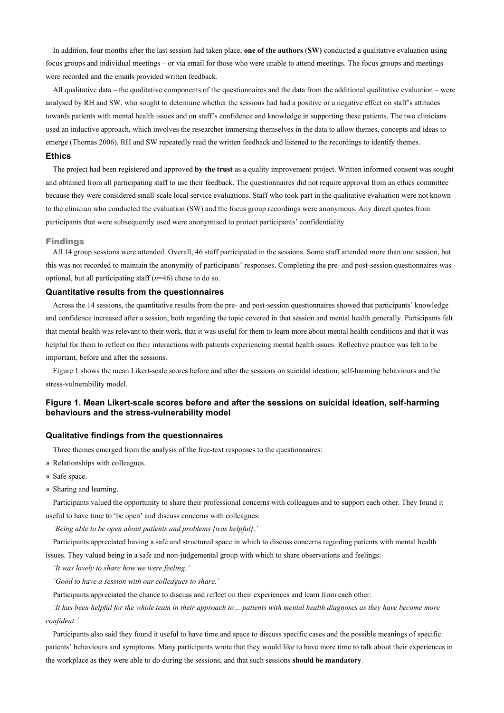In addition, four months after the last session had taken place, **one of the authors** (**SW)** conducted a qualitative evaluation using focus groups and individual meetings – or via email for those who were unable to attend meetings. The focus groups and meetings were recorded and the emails provided written feedback.

All qualitative data – the qualitative components of the questionnaires and the data from the additional qualitative evaluation – were analysed by RH and SW, who sought to determine whether the sessions had had a positive or a negative effect on staff's attitudes towards patients with mental health issues and on staff's confidence and knowledge in supporting these patients. The two clinicians used an inductive approach, which involves the researcher immersing themselves in the data to allow themes, concepts and ideas to emerge (Thomas 2006). RH and SW repeatedly read the written feedback and listened to the recordings to identify themes.

#### **Ethics**

The project had been registered and approved **by the trust** as a quality improvement project. Written informed consent was sought and obtained from all participating staff to use their feedback. The questionnaires did not require approval from an ethics committee because they were considered small-scale local service evaluations. Staff who took part in the qualitative evaluation were not known to the clinician who conducted the evaluation (SW) and the focus group recordings were anonymous. Any direct quotes from participants that were subsequently used were anonymised to protect participants' confidentiality.

#### Findings

All 14 group sessions were attended. Overall, 46 staff participated in the sessions. Some staff attended more than one session, but this was not recorded to maintain the anonymity of participants' responses. Completing the pre- and post-session questionnaires was optional, but all participating staff (*n*=46) chose to do so.

#### **Quantitative results from the questionnaires**

Across the 14 sessions, the quantitative results from the pre- and post-session questionnaires showed that participants' knowledge and confidence increased after a session, both regarding the topic covered in that session and mental health generally. Participants felt that mental health was relevant to their work, that it was useful for them to learn more about mental health conditions and that it was helpful for them to reflect on their interactions with patients experiencing mental health issues. Reflective practice was felt to be important, before and after the sessions.

Figure 1 shows the mean Likert-scale scores before and after the sessions on suicidal ideation, self-harming behaviours and the stress-vulnerability model.

# **Figure 1. Mean Likert-scale scores before and after the sessions on suicidal ideation, self-harming behaviours and the stress-vulnerability model**

#### **Qualitative findings from the questionnaires**

Three themes emerged from the analysis of the free-text responses to the questionnaires:

- » Relationships with colleagues.
- » Safe space.
- » Sharing and learning.

Participants valued the opportunity to share their professional concerns with colleagues and to support each other. They found it useful to have time to 'be open' and discuss concerns with colleagues:

*'Being able to be open about patients and problems [was helpful].'* 

Participants appreciated having a safe and structured space in which to discuss concerns regarding patients with mental health issues. They valued being in a safe and non-judgemental group with which to share observations and feelings:

*'It was lovely to share how we were feeling.'* 

*'Good to have a session with our colleagues to share.'* 

Participants appreciated the chance to discuss and reflect on their experiences and learn from each other:

*'It has been helpful for the whole team in their approach to... patients with mental health diagnoses as they have become more confident.'* 

Participants also said they found it useful to have time and space to discuss specific cases and the possible meanings of specific patients' behaviours and symptoms. Many participants wrote that they would like to have more time to talk about their experiences in the workplace as they were able to do during the sessions, and that such sessions **should be mandatory**.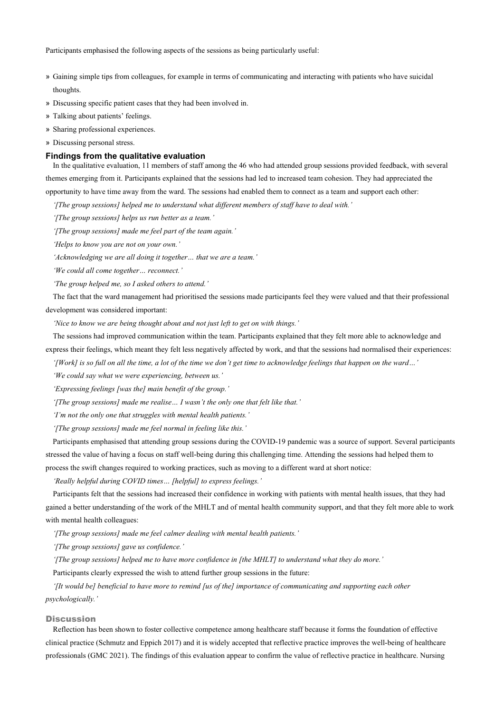Participants emphasised the following aspects of the sessions as being particularly useful:

- » Gaining simple tips from colleagues, for example in terms of communicating and interacting with patients who have suicidal thoughts.
- » Discussing specific patient cases that they had been involved in.
- » Talking about patients' feelings.
- » Sharing professional experiences.
- » Discussing personal stress.

#### **Findings from the qualitative evaluation**

In the qualitative evaluation, 11 members of staff among the 46 who had attended group sessions provided feedback, with several themes emerging from it. Participants explained that the sessions had led to increased team cohesion. They had appreciated the opportunity to have time away from the ward. The sessions had enabled them to connect as a team and support each other:

*'[The group sessions] helped me to understand what different members of staff have to deal with.'*

*'[The group sessions] helps us run better as a team.'* 

*'[The group sessions] made me feel part of the team again.'* 

*'Helps to know you are not on your own.'* 

*'Acknowledging we are all doing it together… that we are a team.'* 

*'We could all come together… reconnect.'* 

*'The group helped me, so I asked others to attend.'*

The fact that the ward management had prioritised the sessions made participants feel they were valued and that their professional development was considered important:

*'Nice to know we are being thought about and not just left to get on with things.'* 

The sessions had improved communication within the team. Participants explained that they felt more able to acknowledge and express their feelings, which meant they felt less negatively affected by work, and that the sessions had normalised their experiences:

*'[Work] is so full on all the time, a lot of the time we don't get time to acknowledge feelings that happen on the ward…'*

*'We could say what we were experiencing, between us.'* 

*'Expressing feelings [was the] main benefit of the group.'* 

*'[The group sessions] made me realise… I wasn't the only one that felt like that.'* 

*'I'm not the only one that struggles with mental health patients.'* 

*'[The group sessions] made me feel normal in feeling like this.'* 

Participants emphasised that attending group sessions during the COVID-19 pandemic was a source of support. Several participants stressed the value of having a focus on staff well-being during this challenging time. Attending the sessions had helped them to process the swift changes required to working practices, such as moving to a different ward at short notice:

*'Really helpful during COVID times… [helpful] to express feelings.'* 

Participants felt that the sessions had increased their confidence in working with patients with mental health issues, that they had gained a better understanding of the work of the MHLT and of mental health community support, and that they felt more able to work with mental health colleagues:

*'[The group sessions] made me feel calmer dealing with mental health patients.'*

*'[The group sessions] gave us confidence.'* 

*'[The group sessions] helped me to have more confidence in [the MHLT] to understand what they do more.'* 

Participants clearly expressed the wish to attend further group sessions in the future:

*'[It would be] beneficial to have more to remind [us of the] importance of communicating and supporting each other psychologically.'* 

#### **Discussion**

Reflection has been shown to foster collective competence among healthcare staff because it forms the foundation of effective clinical practice (Schmutz and Eppich 2017) and it is widely accepted that reflective practice improves the well-being of healthcare professionals (GMC 2021). The findings of this evaluation appear to confirm the value of reflective practice in healthcare. Nursing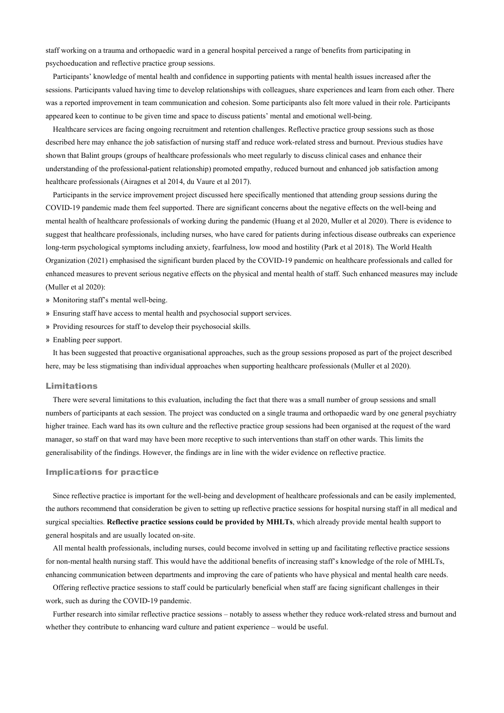staff working on a trauma and orthopaedic ward in a general hospital perceived a range of benefits from participating in psychoeducation and reflective practice group sessions.

Participants' knowledge of mental health and confidence in supporting patients with mental health issues increased after the sessions. Participants valued having time to develop relationships with colleagues, share experiences and learn from each other. There was a reported improvement in team communication and cohesion. Some participants also felt more valued in their role. Participants appeared keen to continue to be given time and space to discuss patients' mental and emotional well-being.

Healthcare services are facing ongoing recruitment and retention challenges. Reflective practice group sessions such as those described here may enhance the job satisfaction of nursing staff and reduce work-related stress and burnout. Previous studies have shown that Balint groups (groups of healthcare professionals who meet regularly to discuss clinical cases and enhance their understanding of the professional-patient relationship) promoted empathy, reduced burnout and enhanced job satisfaction among healthcare professionals (Airagnes et al 2014, du Vaure et al 2017).

Participants in the service improvement project discussed here specifically mentioned that attending group sessions during the COVID-19 pandemic made them feel supported. There are significant concerns about the negative effects on the well-being and mental health of healthcare professionals of working during the pandemic (Huang et al 2020, Muller et al 2020). There is evidence to suggest that healthcare professionals, including nurses, who have cared for patients during infectious disease outbreaks can experience long-term psychological symptoms including anxiety, fearfulness, low mood and hostility (Park et al 2018). The World Health Organization (2021) emphasised the significant burden placed by the COVID-19 pandemic on healthcare professionals and called for enhanced measures to prevent serious negative effects on the physical and mental health of staff. Such enhanced measures may include (Muller et al 2020):

- » Monitoring staff's mental well-being.
- » Ensuring staff have access to mental health and psychosocial support services.
- » Providing resources for staff to develop their psychosocial skills.
- » Enabling peer support.

It has been suggested that proactive organisational approaches, such as the group sessions proposed as part of the project described here, may be less stigmatising than individual approaches when supporting healthcare professionals (Muller et al 2020).

#### Limitations

There were several limitations to this evaluation, including the fact that there was a small number of group sessions and small numbers of participants at each session. The project was conducted on a single trauma and orthopaedic ward by one general psychiatry higher trainee. Each ward has its own culture and the reflective practice group sessions had been organised at the request of the ward manager, so staff on that ward may have been more receptive to such interventions than staff on other wards. This limits the generalisability of the findings. However, the findings are in line with the wider evidence on reflective practice.

#### Implications for practice

Since reflective practice is important for the well-being and development of healthcare professionals and can be easily implemented, the authors recommend that consideration be given to setting up reflective practice sessions for hospital nursing staff in all medical and surgical specialties. **Reflective practice sessions could be provided by MHLTs**, which already provide mental health support to general hospitals and are usually located on-site.

All mental health professionals, including nurses, could become involved in setting up and facilitating reflective practice sessions for non-mental health nursing staff. This would have the additional benefits of increasing staff's knowledge of the role of MHLTs, enhancing communication between departments and improving the care of patients who have physical and mental health care needs.

Offering reflective practice sessions to staff could be particularly beneficial when staff are facing significant challenges in their work, such as during the COVID-19 pandemic.

Further research into similar reflective practice sessions – notably to assess whether they reduce work-related stress and burnout and whether they contribute to enhancing ward culture and patient experience – would be useful.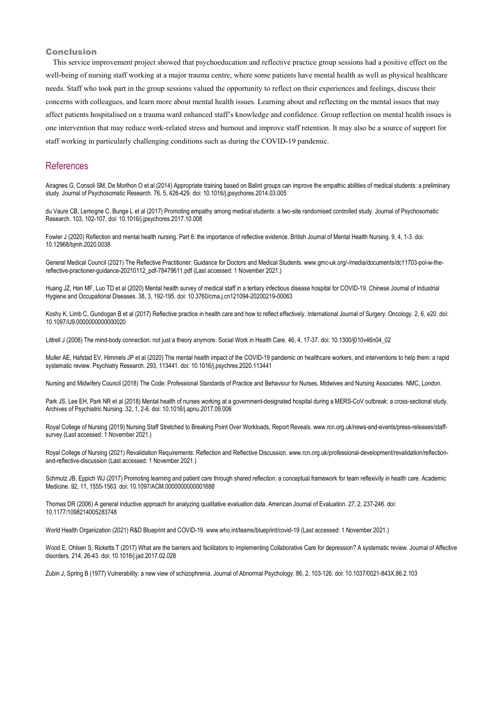#### Conclusion

This service improvement project showed that psychoeducation and reflective practice group sessions had a positive effect on the well-being of nursing staff working at a major trauma centre, where some patients have mental health as well as physical healthcare needs. Staff who took part in the group sessions valued the opportunity to reflect on their experiences and feelings, discuss their concerns with colleagues, and learn more about mental health issues. Learning about and reflecting on the mental issues that may affect patients hospitalised on a trauma ward enhanced staff's knowledge and confidence. Group reflection on mental health issues is one intervention that may reduce work-related stress and burnout and improve staff retention. It may also be a source of support for staff working in particularly challenging conditions such as during the COVID-19 pandemic.

# **References**

Airagnes G, Consoli SM, De Morlhon O et al (2014) Appropriate training based on Balint groups can improve the empathic abilities of medical students: a preliminary study. Journal of Psychosomatic Research. 76, 5, 426-429. doi: 10.1016/j.jpsychores.2014.03.005

du Vaure CB, Lemogne C, Bunge L et al (2017) Promoting empathy among medical students: a two-site randomised controlled study. Journal of Psychosomatic Research. 103, 102-107. doi: 10.1016/j.jpsychores.2017.10.008

Fowler J (2020) Reflection and mental health nursing. Part 6: the importance of reflective evidence. British Journal of Mental Health Nursing. 9, 4, 1-3. doi: 10.12968/bjmh.2020.0038

General Medical Council (2021) The Reflective Practitioner: Guidance for Doctors and Medical Students. www.gmc-uk.org/-/media/documents/dc11703-pol-w-thereflective-practioner-guidance-20210112\_pdf-78479611.pdf (Last accessed: 1 November 2021.)

Huang JZ, Han MF, Luo TD et al (2020) Mental health survey of medical staff in a tertiary infectious disease hospital for COVID-19. Chinese Journal of Industrial Hygiene and Occupational Diseases. 38, 3, 192-195. doi: 10.3760/cma.j.cn121094-20200219-00063

Koshy K, Limb C, Gundogan B et al (2017) Reflective practice in health care and how to reflect effectively. International Journal of Surgery: Oncology. 2, 6, e20. doi: 10.1097/IJ9.0000000000000020

Littrell J (2008) The mind-body connection: not just a theory anymore. Social Work in Health Care. 46, 4, 17-37. doi: 10.1300/j010v46n04\_02

Muller AE, Hafstad EV, Himmels JP et al (2020) The mental health impact of the COVID-19 pandemic on healthcare workers, and interventions to help them: a rapid systematic review. Psychiatry Research. 293, 113441. doi: 10.1016/j.psychres.2020.113441

Nursing and Midwifery Council (2018) The Code: Professional Standards of Practice and Behaviour for Nurses, Midwives and Nursing Associates. NMC, London.

Park JS, Lee EH, Park NR et al (2018) Mental health of nurses working at a government-designated hospital during a MERS-CoV outbreak: a cross-sectional study. Archives of Psychiatric Nursing. 32, 1, 2-6. doi: 10.1016/j.apnu.2017.09.006

Royal College of Nursing (2019) Nursing Staff Stretched to Breaking Point Over Workloads, Report Reveals. www.rcn.org.uk/news-and-events/press-releases/staffsurvey (Last accessed: 1 November 2021.)

Royal College of Nursing (2021) Revalidation Requirements: Reflection and Reflective Discussion. www.rcn.org.uk/professional-development/revalidation/reflectionand-reflective-discussion (Last accessed: 1 November 2021.)

Schmutz JB, Eppich WJ (2017) Promoting learning and patient care through shared reflection: a conceptual framework for team reflexivity in health care. Academic Medicine. 92, 11, 1555-1563. doi: 10.1097/ACM.0000000000001688

Thomas DR (2006) A general inductive approach for analyzing qualitative evaluation data. American Journal of Evaluation. 27, 2, 237-246. doi: 10.1177/1098214005283748

World Health Organization (2021) R&D Blueprint and COVID-19. www.who.int/teams/blueprint/covid-19 (Last accessed: 1 November 2021.)

Wood E, Ohlsen S, Ricketts T (2017) What are the barriers and facilitators to implementing Collaborative Care for depression? A systematic review. Journal of Affective disorders. 214, 26-43. doi: 10.1016/j.jad.2017.02.028

Zubin J, Spring B (1977) Vulnerability: a new view of schizophrenia. Journal of Abnormal Psychology. 86, 2, 103-126. doi: 10.1037/0021-843X.86.2.103